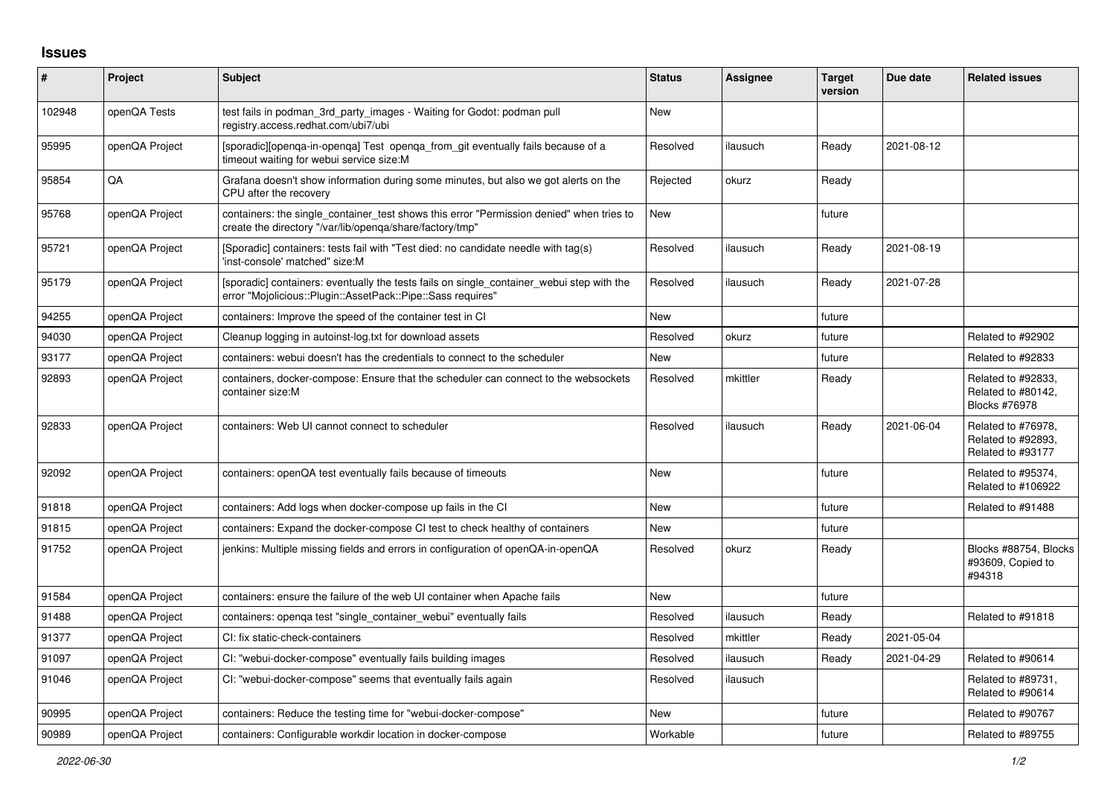## **Issues**

| #      | Project        | <b>Subject</b>                                                                                                                                           | <b>Status</b> | Assignee | <b>Target</b><br>version | Due date   | <b>Related issues</b>                                         |
|--------|----------------|----------------------------------------------------------------------------------------------------------------------------------------------------------|---------------|----------|--------------------------|------------|---------------------------------------------------------------|
| 102948 | openQA Tests   | test fails in podman 3rd party images - Waiting for Godot: podman pull<br>registry.access.redhat.com/ubi7/ubi                                            | <b>New</b>    |          |                          |            |                                                               |
| 95995  | openQA Project | [sporadic][openga-in-openga] Test openga from git eventually fails because of a<br>timeout waiting for webui service size:M                              | Resolved      | ilausuch | Ready                    | 2021-08-12 |                                                               |
| 95854  | QA             | Grafana doesn't show information during some minutes, but also we got alerts on the<br>CPU after the recovery                                            | Rejected      | okurz    | Ready                    |            |                                                               |
| 95768  | openQA Project | containers: the single container test shows this error "Permission denied" when tries to<br>create the directory "/var/lib/openqa/share/factory/tmp"     | New           |          | future                   |            |                                                               |
| 95721  | openQA Project | (Sporadic) containers: tests fail with "Test died: no candidate needle with tag(s)<br>'inst-console' matched" size:M                                     | Resolved      | ilausuch | Ready                    | 2021-08-19 |                                                               |
| 95179  | openQA Project | [sporadic] containers: eventually the tests fails on single_container_webui step with the<br>error "Mojolicious::Plugin::AssetPack::Pipe::Sass requires" | Resolved      | ilausuch | Ready                    | 2021-07-28 |                                                               |
| 94255  | openQA Project | containers: Improve the speed of the container test in CI                                                                                                | <b>New</b>    |          | future                   |            |                                                               |
| 94030  | openQA Project | Cleanup logging in autoinst-log.txt for download assets                                                                                                  | Resolved      | okurz    | future                   |            | Related to #92902                                             |
| 93177  | openQA Project | containers: webui doesn't has the credentials to connect to the scheduler                                                                                | New           |          | future                   |            | Related to #92833                                             |
| 92893  | openQA Project | containers, docker-compose: Ensure that the scheduler can connect to the websockets<br>container size:M                                                  | Resolved      | mkittler | Ready                    |            | Related to #92833,<br>Related to #80142,<br>Blocks #76978     |
| 92833  | openQA Project | containers: Web UI cannot connect to scheduler                                                                                                           | Resolved      | ilausuch | Ready                    | 2021-06-04 | Related to #76978.<br>Related to #92893,<br>Related to #93177 |
| 92092  | openQA Project | containers: openQA test eventually fails because of timeouts                                                                                             | <b>New</b>    |          | future                   |            | Related to #95374,<br>Related to #106922                      |
| 91818  | openQA Project | containers: Add logs when docker-compose up fails in the CI                                                                                              | New           |          | future                   |            | Related to #91488                                             |
| 91815  | openQA Project | containers: Expand the docker-compose CI test to check healthy of containers                                                                             | <b>New</b>    |          | future                   |            |                                                               |
| 91752  | openQA Project | jenkins: Multiple missing fields and errors in configuration of openQA-in-openQA                                                                         | Resolved      | okurz    | Ready                    |            | Blocks #88754, Blocks<br>#93609, Copied to<br>#94318          |
| 91584  | openQA Project | containers: ensure the failure of the web UI container when Apache fails                                                                                 | <b>New</b>    |          | future                   |            |                                                               |
| 91488  | openQA Project | containers: openga test "single container webui" eventually fails                                                                                        | Resolved      | ilausuch | Ready                    |            | Related to #91818                                             |
| 91377  | openQA Project | CI: fix static-check-containers                                                                                                                          | Resolved      | mkittler | Ready                    | 2021-05-04 |                                                               |
| 91097  | openQA Project | CI: "webui-docker-compose" eventually fails building images                                                                                              | Resolved      | ilausuch | Ready                    | 2021-04-29 | Related to #90614                                             |
| 91046  | openQA Project | CI: "webui-docker-compose" seems that eventually fails again                                                                                             | Resolved      | ilausuch |                          |            | Related to #89731,<br>Related to #90614                       |
| 90995  | openQA Project | containers: Reduce the testing time for "webui-docker-compose"                                                                                           | <b>New</b>    |          | future                   |            | Related to #90767                                             |
| 90989  | openQA Project | containers: Configurable workdir location in docker-compose                                                                                              | Workable      |          | future                   |            | Related to #89755                                             |